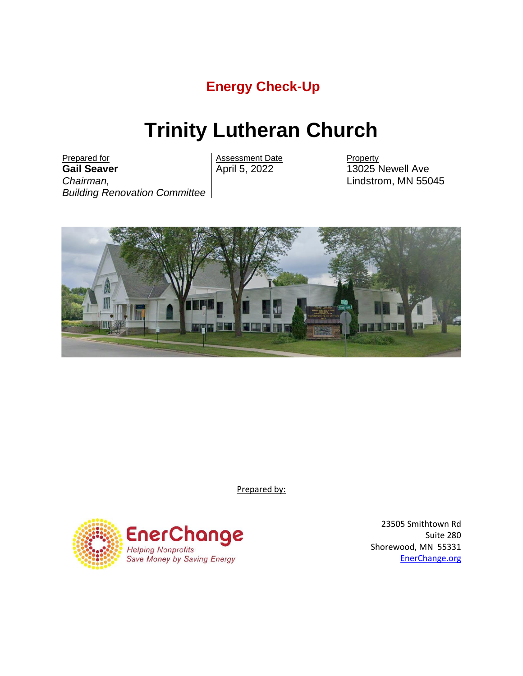# **Energy Check-Up**

# **Trinity Lutheran Church**

Prepared for<br> **Gail Seaver Call Seaver**<br>
April 5, 2022 13025 13025 **Gail Seaver** *Chairman, Building Renovation Committee*

13025 Newell Ave Lindstrom, MN 55045



Prepared by:



23505 Smithtown Rd Suite 280 Shorewood, MN 55331 EnerChange.org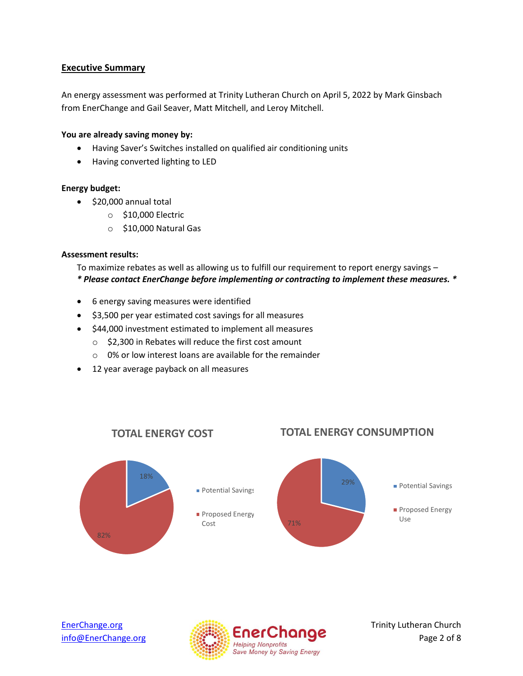# **Executive Summary**

An energy assessment was performed at Trinity Lutheran Church on April 5, 2022 by Mark Ginsbach from EnerChange and Gail Seaver, Matt Mitchell, and Leroy Mitchell.

# **You are already saving money by:**

- Having Saver's Switches installed on qualified air conditioning units
- Having converted lighting to LED

#### **Energy budget:**

- \$20,000 annual total
	- o \$10,000 Electric
	- o \$10,000 Natural Gas

#### **Assessment results:**

To maximize rebates as well as allowing us to fulfill our requirement to report energy savings – *\* Please contact EnerChange before implementing or contracting to implement these measures. \**

- 6 energy saving measures were identified
- \$3,500 per year estimated cost savings for all measures
- \$44,000 investment estimated to implement all measures
	- o \$2,300 in Rebates will reduce the first cost amount
	- o 0% or low interest loans are available for the remainder
- 12 year average payback on all measures



# **TOTAL ENERGY CONSUMPTION**



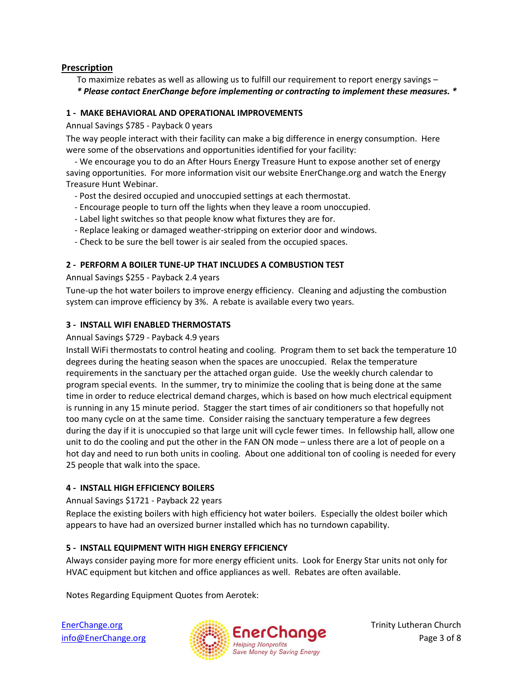# **Prescription**

To maximize rebates as well as allowing us to fulfill our requirement to report energy savings – *\* Please contact EnerChange before implementing or contracting to implement these measures. \**

# **1 - MAKE BEHAVIORAL AND OPERATIONAL IMPROVEMENTS**

Annual Savings \$785 - Payback 0 years

The way people interact with their facility can make a big difference in energy consumption. Here were some of the observations and opportunities identified for your facility:

 - We encourage you to do an After Hours Energy Treasure Hunt to expose another set of energy saving opportunities. For more information visit our website EnerChange.org and watch the Energy Treasure Hunt Webinar.

- Post the desired occupied and unoccupied settings at each thermostat.
- Encourage people to turn off the lights when they leave a room unoccupied.
- Label light switches so that people know what fixtures they are for.
- Replace leaking or damaged weather-stripping on exterior door and windows.
- Check to be sure the bell tower is air sealed from the occupied spaces.

## **2 - PERFORM A BOILER TUNE-UP THAT INCLUDES A COMBUSTION TEST**

Annual Savings \$255 - Payback 2.4 years

Tune-up the hot water boilers to improve energy efficiency. Cleaning and adjusting the combustion system can improve efficiency by 3%. A rebate is available every two years.

## **3 - INSTALL WIFI ENABLED THERMOSTATS**

Annual Savings \$729 - Payback 4.9 years

Install WiFi thermostats to control heating and cooling. Program them to set back the temperature 10 degrees during the heating season when the spaces are unoccupied. Relax the temperature requirements in the sanctuary per the attached organ guide. Use the weekly church calendar to program special events. In the summer, try to minimize the cooling that is being done at the same time in order to reduce electrical demand charges, which is based on how much electrical equipment is running in any 15 minute period. Stagger the start times of air conditioners so that hopefully not too many cycle on at the same time. Consider raising the sanctuary temperature a few degrees during the day if it is unoccupied so that large unit will cycle fewer times. In fellowship hall, allow one unit to do the cooling and put the other in the FAN ON mode – unless there are a lot of people on a hot day and need to run both units in cooling. About one additional ton of cooling is needed for every 25 people that walk into the space.

# **4 - INSTALL HIGH EFFICIENCY BOILERS**

Annual Savings \$1721 - Payback 22 years

Replace the existing boilers with high efficiency hot water boilers. Especially the oldest boiler which appears to have had an oversized burner installed which has no turndown capability.

# **5 - INSTALL EQUIPMENT WITH HIGH ENERGY EFFICIENCY**

Always consider paying more for more energy efficient units. Look for Energy Star units not only for HVAC equipment but kitchen and office appliances as well. Rebates are often available.

Notes Regarding Equipment Quotes from Aerotek:

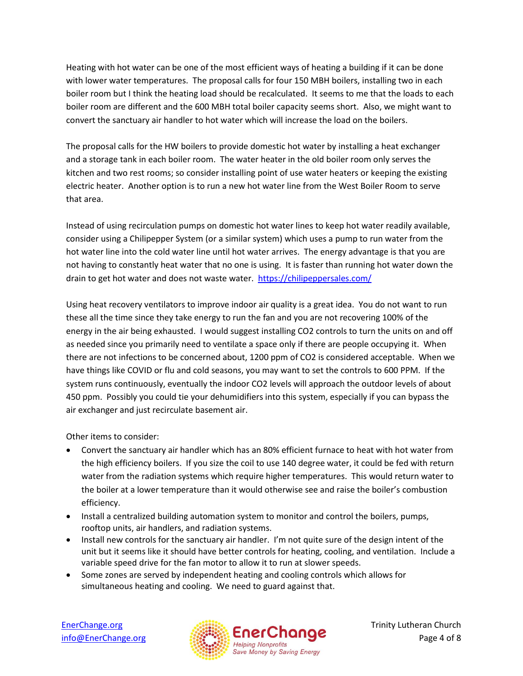Heating with hot water can be one of the most efficient ways of heating a building if it can be done with lower water temperatures. The proposal calls for four 150 MBH boilers, installing two in each boiler room but I think the heating load should be recalculated. It seems to me that the loads to each boiler room are different and the 600 MBH total boiler capacity seems short. Also, we might want to convert the sanctuary air handler to hot water which will increase the load on the boilers.

The proposal calls for the HW boilers to provide domestic hot water by installing a heat exchanger and a storage tank in each boiler room. The water heater in the old boiler room only serves the kitchen and two rest rooms; so consider installing point of use water heaters or keeping the existing electric heater. Another option is to run a new hot water line from the West Boiler Room to serve that area.

Instead of using recirculation pumps on domestic hot water lines to keep hot water readily available, consider using a Chilipepper System (or a similar system) which uses a pump to run water from the hot water line into the cold water line until hot water arrives. The energy advantage is that you are not having to constantly heat water that no one is using. It is faster than running hot water down the drain to get hot water and does not waste water. https://chilipeppersales.com/

Using heat recovery ventilators to improve indoor air quality is a great idea. You do not want to run these all the time since they take energy to run the fan and you are not recovering 100% of the energy in the air being exhausted. I would suggest installing CO2 controls to turn the units on and off as needed since you primarily need to ventilate a space only if there are people occupying it. When there are not infections to be concerned about, 1200 ppm of CO2 is considered acceptable. When we have things like COVID or flu and cold seasons, you may want to set the controls to 600 PPM. If the system runs continuously, eventually the indoor CO2 levels will approach the outdoor levels of about 450 ppm. Possibly you could tie your dehumidifiers into this system, especially if you can bypass the air exchanger and just recirculate basement air.

Other items to consider:

- Convert the sanctuary air handler which has an 80% efficient furnace to heat with hot water from the high efficiency boilers. If you size the coil to use 140 degree water, it could be fed with return water from the radiation systems which require higher temperatures. This would return water to the boiler at a lower temperature than it would otherwise see and raise the boiler's combustion efficiency.
- Install a centralized building automation system to monitor and control the boilers, pumps, rooftop units, air handlers, and radiation systems.
- Install new controls for the sanctuary air handler. I'm not quite sure of the design intent of the unit but it seems like it should have better controls for heating, cooling, and ventilation. Include a variable speed drive for the fan motor to allow it to run at slower speeds.
- Some zones are served by independent heating and cooling controls which allows for simultaneous heating and cooling. We need to guard against that.

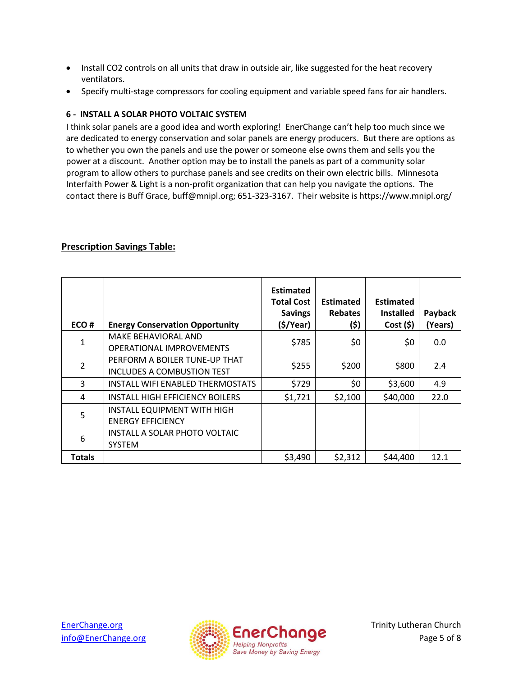- Install CO2 controls on all units that draw in outside air, like suggested for the heat recovery ventilators.
- Specify multi-stage compressors for cooling equipment and variable speed fans for air handlers.

# **6 - INSTALL A SOLAR PHOTO VOLTAIC SYSTEM**

I think solar panels are a good idea and worth exploring! EnerChange can't help too much since we are dedicated to energy conservation and solar panels are energy producers. But there are options as to whether you own the panels and use the power or someone else owns them and sells you the power at a discount. Another option may be to install the panels as part of a community solar program to allow others to purchase panels and see credits on their own electric bills. Minnesota Interfaith Power & Light is a non-profit organization that can help you navigate the options. The contact there is Buff Grace, buff@mnipl.org; 651-323-3167. Their website is https://www.mnipl.org/

| ECO#           | <b>Energy Conservation Opportunity</b>                         | <b>Estimated</b><br><b>Total Cost</b><br><b>Savings</b><br>$($ \$/Year $)$ | <b>Estimated</b><br><b>Rebates</b><br>(\$) | <b>Estimated</b><br><b>Installed</b><br>Cost(5) | Payback<br>(Years) |
|----------------|----------------------------------------------------------------|----------------------------------------------------------------------------|--------------------------------------------|-------------------------------------------------|--------------------|
| $\mathbf 1$    | <b>MAKE BEHAVIORAL AND</b><br><b>OPERATIONAL IMPROVEMENTS</b>  | \$785                                                                      | \$0                                        | \$0                                             | 0.0                |
| $\overline{2}$ | PERFORM A BOILER TUNE-UP THAT<br>INCLUDES A COMBUSTION TEST    | \$255                                                                      | \$200                                      | \$800                                           | 2.4                |
| 3              | INSTALL WIFI ENABLED THERMOSTATS                               | \$729                                                                      | \$0                                        | \$3,600                                         | 4.9                |
| 4              | <b>INSTALL HIGH EFFICIENCY BOILERS</b>                         | \$1,721                                                                    | \$2,100                                    | \$40,000                                        | 22.0               |
| 5              | <b>INSTALL EQUIPMENT WITH HIGH</b><br><b>ENERGY EFFICIENCY</b> |                                                                            |                                            |                                                 |                    |
| 6              | INSTALL A SOLAR PHOTO VOLTAIC<br><b>SYSTEM</b>                 |                                                                            |                                            |                                                 |                    |
| <b>Totals</b>  |                                                                | \$3,490                                                                    | \$2,312                                    | \$44,400                                        | 12.1               |

# **Prescription Savings Table:**

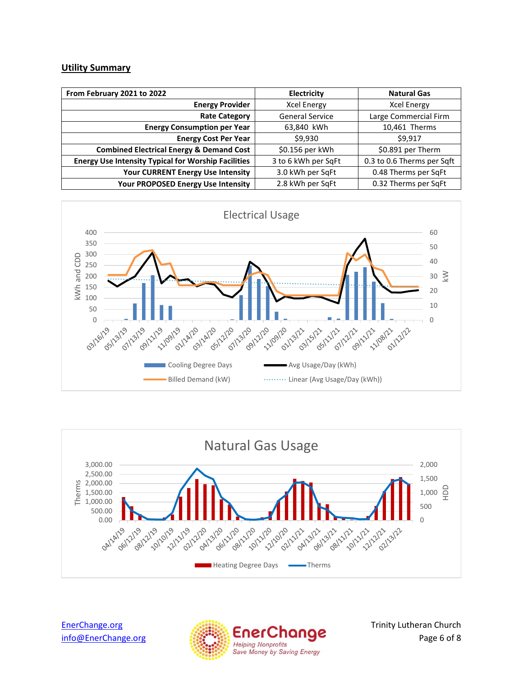## **Utility Summary**

| From February 2021 to 2022                                 | <b>Electricity</b>     | <b>Natural Gas</b>         |  |
|------------------------------------------------------------|------------------------|----------------------------|--|
| <b>Energy Provider</b>                                     | <b>Xcel Energy</b>     | <b>Xcel Energy</b>         |  |
| <b>Rate Category</b>                                       | <b>General Service</b> | Large Commercial Firm      |  |
| <b>Energy Consumption per Year</b>                         | 63,840 kWh             | 10,461 Therms              |  |
| <b>Energy Cost Per Year</b>                                | \$9,930                | \$9.917                    |  |
| <b>Combined Electrical Energy &amp; Demand Cost</b>        | \$0.156 per kWh        | \$0.891 per Therm          |  |
| <b>Energy Use Intensity Typical for Worship Facilities</b> | 3 to 6 kWh per SqFt    | 0.3 to 0.6 Therms per Sqft |  |
| <b>Your CURRENT Energy Use Intensity</b>                   | 3.0 kWh per SqFt       | 0.48 Therms per SqFt       |  |
| Your PROPOSED Energy Use Intensity                         | 2.8 kWh per SqFt       | 0.32 Therms per SqFt       |  |





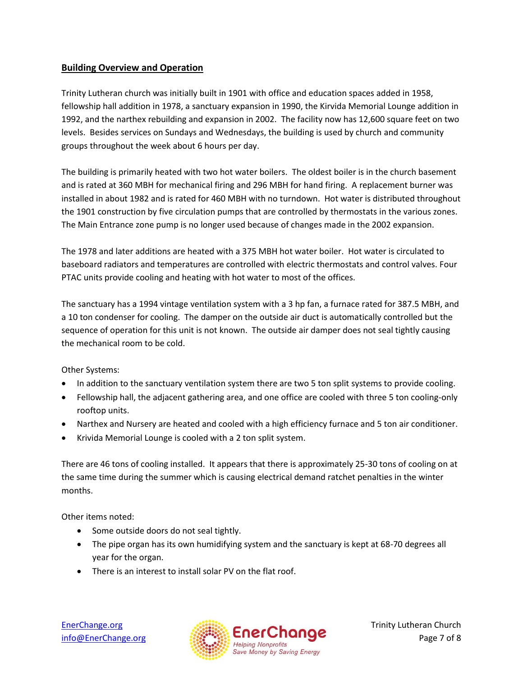# **Building Overview and Operation**

Trinity Lutheran church was initially built in 1901 with office and education spaces added in 1958, fellowship hall addition in 1978, a sanctuary expansion in 1990, the Kirvida Memorial Lounge addition in 1992, and the narthex rebuilding and expansion in 2002. The facility now has 12,600 square feet on two levels. Besides services on Sundays and Wednesdays, the building is used by church and community groups throughout the week about 6 hours per day.

The building is primarily heated with two hot water boilers. The oldest boiler is in the church basement and is rated at 360 MBH for mechanical firing and 296 MBH for hand firing. A replacement burner was installed in about 1982 and is rated for 460 MBH with no turndown. Hot water is distributed throughout the 1901 construction by five circulation pumps that are controlled by thermostats in the various zones. The Main Entrance zone pump is no longer used because of changes made in the 2002 expansion.

The 1978 and later additions are heated with a 375 MBH hot water boiler. Hot water is circulated to baseboard radiators and temperatures are controlled with electric thermostats and control valves. Four PTAC units provide cooling and heating with hot water to most of the offices.

The sanctuary has a 1994 vintage ventilation system with a 3 hp fan, a furnace rated for 387.5 MBH, and a 10 ton condenser for cooling. The damper on the outside air duct is automatically controlled but the sequence of operation for this unit is not known. The outside air damper does not seal tightly causing the mechanical room to be cold.

Other Systems:

- In addition to the sanctuary ventilation system there are two 5 ton split systems to provide cooling.
- Fellowship hall, the adjacent gathering area, and one office are cooled with three 5 ton cooling-only rooftop units.
- Narthex and Nursery are heated and cooled with a high efficiency furnace and 5 ton air conditioner.
- Krivida Memorial Lounge is cooled with a 2 ton split system.

There are 46 tons of cooling installed. It appears that there is approximately 25-30 tons of cooling on at the same time during the summer which is causing electrical demand ratchet penalties in the winter months.

Other items noted:

- Some outside doors do not seal tightly.
- The pipe organ has its own humidifying system and the sanctuary is kept at 68-70 degrees all year for the organ.
- There is an interest to install solar PV on the flat roof.